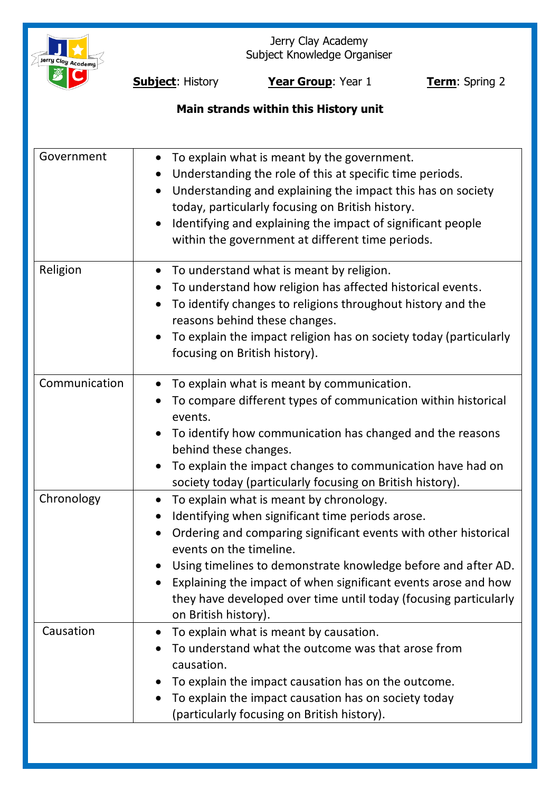

Jerry Clay Academy Subject Knowledge Organiser

**Subject:** History **Year Group**: Year 1 **Term**: Spring 2

# **Main strands within this History unit**

| Government    | To explain what is meant by the government.<br>$\bullet$<br>Understanding the role of this at specific time periods.<br>Understanding and explaining the impact this has on society<br>today, particularly focusing on British history.<br>Identifying and explaining the impact of significant people<br>within the government at different time periods.                                                               |
|---------------|--------------------------------------------------------------------------------------------------------------------------------------------------------------------------------------------------------------------------------------------------------------------------------------------------------------------------------------------------------------------------------------------------------------------------|
| Religion      | To understand what is meant by religion.<br>$\bullet$<br>To understand how religion has affected historical events.<br>To identify changes to religions throughout history and the<br>$\bullet$<br>reasons behind these changes.<br>To explain the impact religion has on society today (particularly<br>focusing on British history).                                                                                   |
| Communication | To explain what is meant by communication.<br>$\bullet$<br>To compare different types of communication within historical<br>events.<br>To identify how communication has changed and the reasons<br>behind these changes.<br>To explain the impact changes to communication have had on<br>society today (particularly focusing on British history).                                                                     |
| Chronology    | To explain what is meant by chronology.<br>Identifying when significant time periods arose.<br>Ordering and comparing significant events with other historical<br>events on the timeline.<br>Using timelines to demonstrate knowledge before and after AD.<br>Explaining the impact of when significant events arose and how<br>they have developed over time until today (focusing particularly<br>on British history). |
| Causation     | To explain what is meant by causation.<br>$\bullet$<br>To understand what the outcome was that arose from<br>causation.<br>To explain the impact causation has on the outcome.<br>To explain the impact causation has on society today<br>(particularly focusing on British history).                                                                                                                                    |